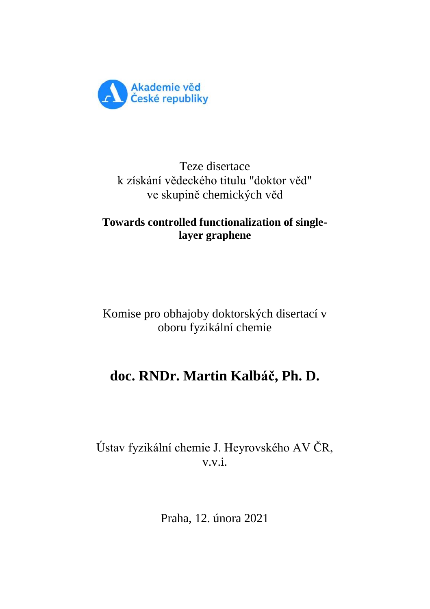

## Teze disertace k získání vědeckého titulu "doktor věd" ve skupině chemických věd

## **Towards controlled functionalization of singlelayer graphene**

# Komise pro obhajoby doktorských disertací v oboru fyzikální chemie

# **doc. RNDr. Martin Kalbáč, Ph. D.**

# Ústav fyzikální chemie J. Heyrovského AV ČR,  $v\,v\,i$

Praha, 12. února 2021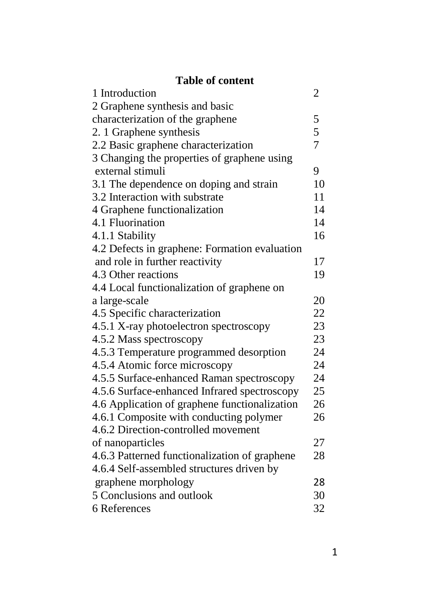# **Table of content**

| 1 Introduction                                | $\overline{2}$ |
|-----------------------------------------------|----------------|
| 2 Graphene synthesis and basic                |                |
| characterization of the graphene              | 5              |
| 2. 1 Graphene synthesis                       | 5              |
| 2.2 Basic graphene characterization           | $\overline{7}$ |
| 3 Changing the properties of graphene using   |                |
| external stimuli                              | 9              |
| 3.1 The dependence on doping and strain       | 10             |
| 3.2 Interaction with substrate                | 11             |
| 4 Graphene functionalization                  | 14             |
| 4.1 Fluorination                              | 14             |
| 4.1.1 Stability                               | 16             |
| 4.2 Defects in graphene: Formation evaluation |                |
| and role in further reactivity                | 17             |
| 4.3 Other reactions                           | 19             |
| 4.4 Local functionalization of graphene on    |                |
| a large-scale                                 | 20             |
| 4.5 Specific characterization                 | 22             |
| 4.5.1 X-ray photoelectron spectroscopy        | 23             |
| 4.5.2 Mass spectroscopy                       | 23             |
| 4.5.3 Temperature programmed desorption       | 24             |
| 4.5.4 Atomic force microscopy                 | 24             |
| 4.5.5 Surface-enhanced Raman spectroscopy     | 24             |
| 4.5.6 Surface-enhanced Infrared spectroscopy  | 25             |
| 4.6 Application of graphene functionalization | 26             |
| 4.6.1 Composite with conducting polymer       | 26             |
| 4.6.2 Direction-controlled movement           |                |
| of nanoparticles                              | 27             |
| 4.6.3 Patterned functionalization of graphene | 28             |
| 4.6.4 Self-assembled structures driven by     |                |
| graphene morphology                           | 28             |
| 5 Conclusions and outlook                     | 30             |
| 6 References                                  | 32             |
|                                               |                |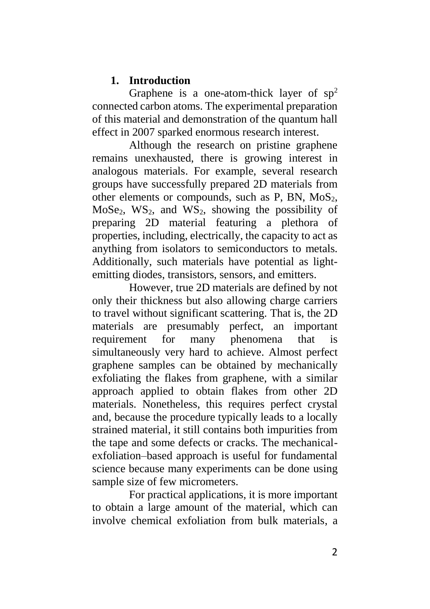#### **1. Introduction**

Graphene is a one-atom-thick layer of  $sp<sup>2</sup>$ connected carbon atoms. The experimental preparation of this material and demonstration of the quantum hall effect in 2007 sparked enormous research interest.

Although the research on pristine graphene remains unexhausted, there is growing interest in analogous materials. For example, several research groups have successfully prepared 2D materials from other elements or compounds, such as P, BN,  $MoS<sub>2</sub>$ , MoSe<sub>2</sub>, WS<sub>2</sub>, and WS<sub>2</sub>, showing the possibility of preparing 2D material featuring a plethora of properties, including, electrically, the capacity to act as anything from isolators to semiconductors to metals. Additionally, such materials have potential as lightemitting diodes, transistors, sensors, and emitters.

However, true 2D materials are defined by not only their thickness but also allowing charge carriers to travel without significant scattering. That is, the 2D materials are presumably perfect, an important requirement for many phenomena that is simultaneously very hard to achieve. Almost perfect graphene samples can be obtained by mechanically exfoliating the flakes from graphene, with a similar approach applied to obtain flakes from other 2D materials. Nonetheless, this requires perfect crystal and, because the procedure typically leads to a locally strained material, it still contains both impurities from the tape and some defects or cracks. The mechanicalexfoliation–based approach is useful for fundamental science because many experiments can be done using sample size of few micrometers.

For practical applications, it is more important to obtain a large amount of the material, which can involve chemical exfoliation from bulk materials, a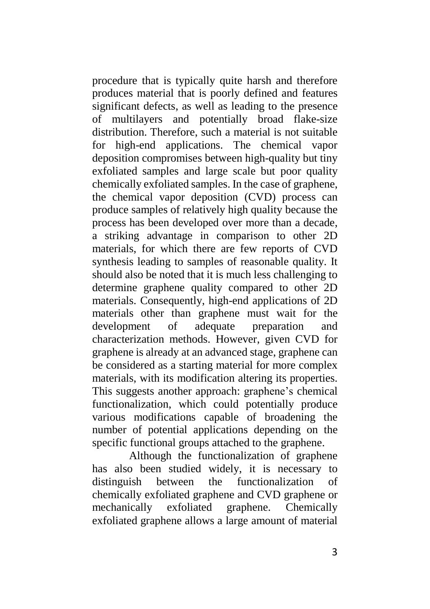procedure that is typically quite harsh and therefore produces material that is poorly defined and features significant defects, as well as leading to the presence of multilayers and potentially broad flake-size distribution. Therefore, such a material is not suitable for high-end applications. The chemical vapor deposition compromises between high-quality but tiny exfoliated samples and large scale but poor quality chemically exfoliated samples. In the case of graphene, the chemical vapor deposition (CVD) process can produce samples of relatively high quality because the process has been developed over more than a decade, a striking advantage in comparison to other 2D materials, for which there are few reports of CVD synthesis leading to samples of reasonable quality. It should also be noted that it is much less challenging to determine graphene quality compared to other 2D materials. Consequently, high-end applications of 2D materials other than graphene must wait for the development of adequate preparation and characterization methods. However, given CVD for graphene is already at an advanced stage, graphene can be considered as a starting material for more complex materials, with its modification altering its properties. This suggests another approach: graphene's chemical functionalization, which could potentially produce various modifications capable of broadening the number of potential applications depending on the specific functional groups attached to the graphene.

Although the functionalization of graphene has also been studied widely, it is necessary to distinguish between the functionalization of chemically exfoliated graphene and CVD graphene or mechanically exfoliated graphene. Chemically exfoliated graphene allows a large amount of material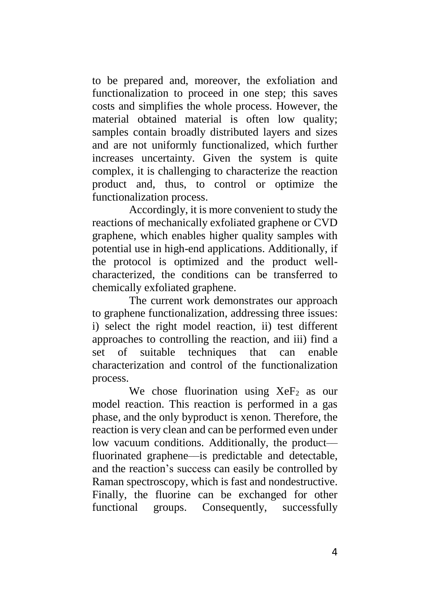to be prepared and, moreover, the exfoliation and functionalization to proceed in one step; this saves costs and simplifies the whole process. However, the material obtained material is often low quality; samples contain broadly distributed layers and sizes and are not uniformly functionalized, which further increases uncertainty. Given the system is quite complex, it is challenging to characterize the reaction product and, thus, to control or optimize the functionalization process.

Accordingly, it is more convenient to study the reactions of mechanically exfoliated graphene or CVD graphene, which enables higher quality samples with potential use in high-end applications. Additionally, if the protocol is optimized and the product wellcharacterized, the conditions can be transferred to chemically exfoliated graphene.

The current work demonstrates our approach to graphene functionalization, addressing three issues: i) select the right model reaction, ii) test different approaches to controlling the reaction, and iii) find a set of suitable techniques that can enable characterization and control of the functionalization process.

We chose fluorination using  $XeF_2$  as our model reaction. This reaction is performed in a gas phase, and the only byproduct is xenon. Therefore, the reaction is very clean and can be performed even under low vacuum conditions. Additionally, the product fluorinated graphene—is predictable and detectable, and the reaction's success can easily be controlled by Raman spectroscopy, which is fast and nondestructive. Finally, the fluorine can be exchanged for other functional groups. Consequently, successfully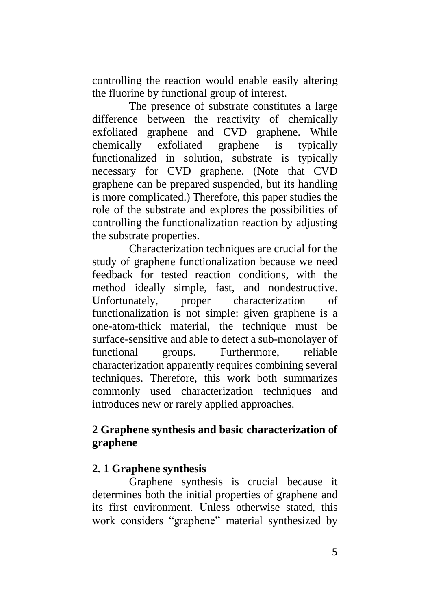controlling the reaction would enable easily altering the fluorine by functional group of interest.

The presence of substrate constitutes a large difference between the reactivity of chemically exfoliated graphene and CVD graphene. While chemically exfoliated graphene is typically functionalized in solution, substrate is typically necessary for CVD graphene. (Note that CVD graphene can be prepared suspended, but its handling is more complicated.) Therefore, this paper studies the role of the substrate and explores the possibilities of controlling the functionalization reaction by adjusting the substrate properties.

Characterization techniques are crucial for the study of graphene functionalization because we need feedback for tested reaction conditions, with the method ideally simple, fast, and nondestructive. Unfortunately, proper characterization of functionalization is not simple: given graphene is a one-atom-thick material, the technique must be surface-sensitive and able to detect a sub-monolayer of functional groups. Furthermore, reliable characterization apparently requires combining several techniques. Therefore, this work both summarizes commonly used characterization techniques and introduces new or rarely applied approaches.

## **2 Graphene synthesis and basic characterization of graphene**

### **2. 1 Graphene synthesis**

Graphene synthesis is crucial because it determines both the initial properties of graphene and its first environment. Unless otherwise stated, this work considers "graphene" material synthesized by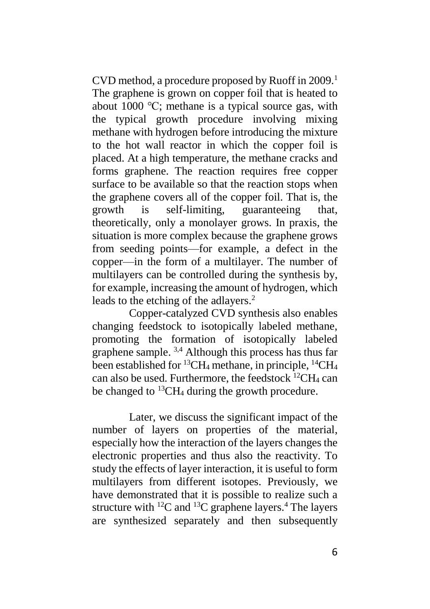CVD method, a procedure proposed by Ruoff in 2009.<sup>1</sup> The graphene is grown on copper foil that is heated to about 1000 ℃; methane is a typical source gas, with the typical growth procedure involving mixing methane with hydrogen before introducing the mixture to the hot wall reactor in which the copper foil is placed. At a high temperature, the methane cracks and forms graphene. The reaction requires free copper surface to be available so that the reaction stops when the graphene covers all of the copper foil. That is, the growth is self-limiting, guaranteeing that, theoretically, only a monolayer grows. In praxis, the situation is more complex because the graphene grows from seeding points––for example, a defect in the copper––in the form of a multilayer. The number of multilayers can be controlled during the synthesis by, for example, increasing the amount of hydrogen, which leads to the etching of the adlayers.<sup>2</sup>

Copper-catalyzed CVD synthesis also enables changing feedstock to isotopically labeled methane, promoting the formation of isotopically labeled graphene sample. 3,4 Although this process has thus far been established for <sup>13</sup>CH<sub>4</sub> methane, in principle, <sup>14</sup>CH<sub>4</sub> can also be used. Furthermore, the feedstock  ${}^{12}CH_4$  can be changed to  $^{13}CH_4$  during the growth procedure.

Later, we discuss the significant impact of the number of layers on properties of the material, especially how the interaction of the layers changes the electronic properties and thus also the reactivity. To study the effects of layer interaction, it is useful to form multilayers from different isotopes. Previously, we have demonstrated that it is possible to realize such a structure with  ${}^{12}C$  and  ${}^{13}C$  graphene layers.<sup>4</sup> The layers are synthesized separately and then subsequently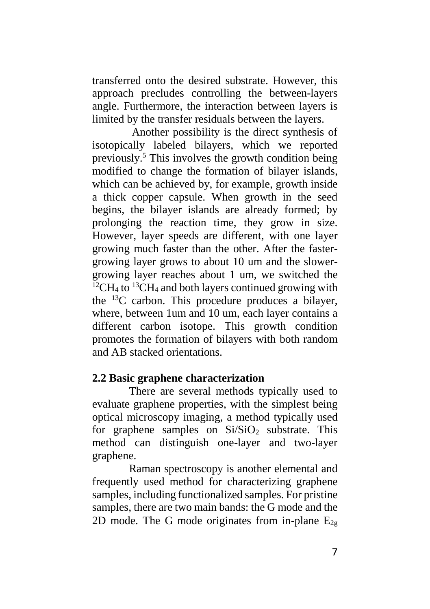transferred onto the desired substrate. However, this approach precludes controlling the between-layers angle. Furthermore, the interaction between layers is limited by the transfer residuals between the layers.

Another possibility is the direct synthesis of isotopically labeled bilayers, which we reported previously. <sup>5</sup> This involves the growth condition being modified to change the formation of bilayer islands, which can be achieved by, for example, growth inside a thick copper capsule. When growth in the seed begins, the bilayer islands are already formed; by prolonging the reaction time, they grow in size. However, layer speeds are different, with one layer growing much faster than the other. After the fastergrowing layer grows to about 10 um and the slowergrowing layer reaches about 1 um, we switched the  $12CH_4$  to  $13CH_4$  and both layers continued growing with the <sup>13</sup>C carbon. This procedure produces a bilayer, where, between 1um and 10 um, each layer contains a different carbon isotope. This growth condition promotes the formation of bilayers with both random and AB stacked orientations.

### **2.2 Basic graphene characterization**

There are several methods typically used to evaluate graphene properties, with the simplest being optical microscopy imaging, a method typically used for graphene samples on  $Si/SiO<sub>2</sub>$  substrate. This method can distinguish one-layer and two-layer graphene.

Raman spectroscopy is another elemental and frequently used method for characterizing graphene samples, including functionalized samples. For pristine samples, there are two main bands: the G mode and the 2D mode. The G mode originates from in-plane  $E_{2g}$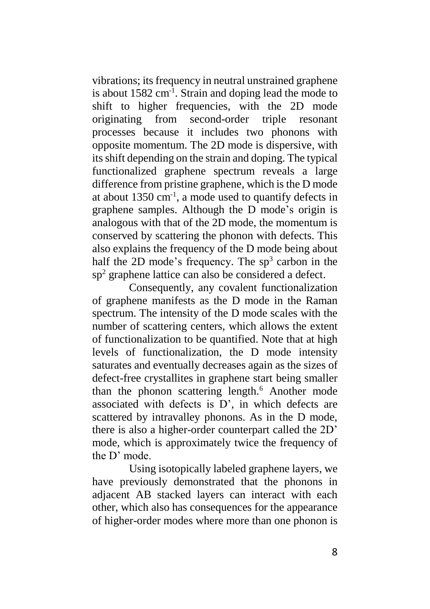vibrations; itsfrequency in neutral unstrained graphene is about 1582 cm<sup>-1</sup>. Strain and doping lead the mode to shift to higher frequencies, with the 2D mode originating from second-order triple resonant processes because it includes two phonons with opposite momentum. The 2D mode is dispersive, with its shift depending on the strain and doping. The typical functionalized graphene spectrum reveals a large difference from pristine graphene, which is the D mode at about 1350 cm-1 , a mode used to quantify defects in graphene samples. Although the D mode's origin is analogous with that of the 2D mode, the momentum is conserved by scattering the phonon with defects. This also explains the frequency of the D mode being about half the 2D mode's frequency. The  $sp<sup>3</sup>$  carbon in the sp<sup>2</sup> graphene lattice can also be considered a defect.

Consequently, any covalent functionalization of graphene manifests as the D mode in the Raman spectrum. The intensity of the D mode scales with the number of scattering centers, which allows the extent of functionalization to be quantified. Note that at high levels of functionalization, the D mode intensity saturates and eventually decreases again as the sizes of defect-free crystallites in graphene start being smaller than the phonon scattering length.<sup>6</sup> Another mode associated with defects is D', in which defects are scattered by intravalley phonons. As in the D mode, there is also a higher-order counterpart called the 2D' mode, which is approximately twice the frequency of the D' mode.

Using isotopically labeled graphene layers, we have previously demonstrated that the phonons in adjacent AB stacked layers can interact with each other, which also has consequences for the appearance of higher-order modes where more than one phonon is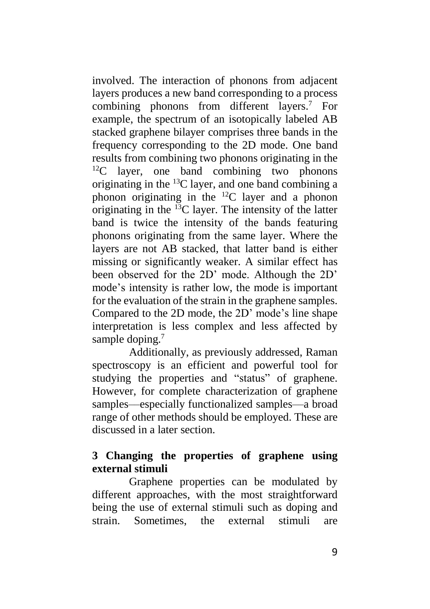involved. The interaction of phonons from adjacent layers produces a new band corresponding to a process combining phonons from different layers. <sup>7</sup> For example, the spectrum of an isotopically labeled AB stacked graphene bilayer comprises three bands in the frequency corresponding to the 2D mode. One band results from combining two phonons originating in the  $12^{\circ}$  layer, one band combining two phonons originating in the <sup>13</sup>C layer, and one band combining a phonon originating in the <sup>12</sup>C layer and a phonon originating in the  $^{13}$ C layer. The intensity of the latter band is twice the intensity of the bands featuring phonons originating from the same layer. Where the layers are not AB stacked, that latter band is either missing or significantly weaker. A similar effect has been observed for the 2D' mode. Although the 2D' mode's intensity is rather low, the mode is important for the evaluation of the strain in the graphene samples. Compared to the 2D mode, the 2D' mode's line shape interpretation is less complex and less affected by sample doping.<sup>7</sup>

Additionally, as previously addressed, Raman spectroscopy is an efficient and powerful tool for studying the properties and "status" of graphene. However, for complete characterization of graphene samples––especially functionalized samples––a broad range of other methods should be employed. These are discussed in a later section.

## **3 Changing the properties of graphene using external stimuli**

Graphene properties can be modulated by different approaches, with the most straightforward being the use of external stimuli such as doping and strain. Sometimes, the external stimuli are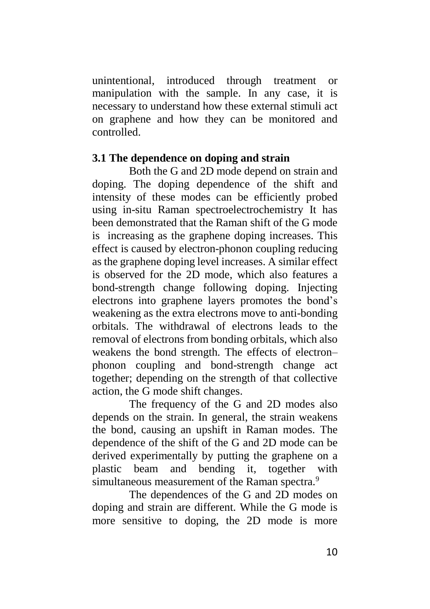unintentional, introduced through treatment or manipulation with the sample. In any case, it is necessary to understand how these external stimuli act on graphene and how they can be monitored and controlled.

#### **3.1 The dependence on doping and strain**

Both the G and 2D mode depend on strain and doping. The doping dependence of the shift and intensity of these modes can be efficiently probed using in-situ Raman spectroelectrochemistry It has been demonstrated that the Raman shift of the G mode is increasing as the graphene doping increases. This effect is caused by electron-phonon coupling reducing as the graphene doping level increases. A similar effect is observed for the 2D mode, which also features a bond-strength change following doping. Injecting electrons into graphene layers promotes the bond's weakening as the extra electrons move to anti-bonding orbitals. The withdrawal of electrons leads to the removal of electrons from bonding orbitals, which also weakens the bond strength. The effects of electron– phonon coupling and bond-strength change act together; depending on the strength of that collective action, the G mode shift changes.

The frequency of the G and 2D modes also depends on the strain. In general, the strain weakens the bond, causing an upshift in Raman modes. The dependence of the shift of the G and 2D mode can be derived experimentally by putting the graphene on a plastic beam and bending it, together with simultaneous measurement of the Raman spectra.<sup>9</sup>

The dependences of the G and 2D modes on doping and strain are different. While the G mode is more sensitive to doping, the 2D mode is more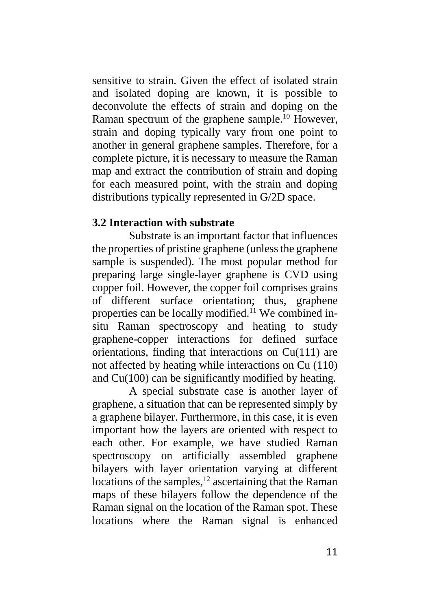sensitive to strain. Given the effect of isolated strain and isolated doping are known, it is possible to deconvolute the effects of strain and doping on the Raman spectrum of the graphene sample.<sup>10</sup> However, strain and doping typically vary from one point to another in general graphene samples. Therefore, for a complete picture, it is necessary to measure the Raman map and extract the contribution of strain and doping for each measured point, with the strain and doping distributions typically represented in G/2D space.

#### **3.2 Interaction with substrate**

Substrate is an important factor that influences the properties of pristine graphene (unless the graphene sample is suspended). The most popular method for preparing large single-layer graphene is CVD using copper foil. However, the copper foil comprises grains of different surface orientation; thus, graphene properties can be locally modified.<sup>11</sup> We combined insitu Raman spectroscopy and heating to study graphene-copper interactions for defined surface orientations, finding that interactions on Cu(111) are not affected by heating while interactions on Cu (110) and Cu(100) can be significantly modified by heating.

A special substrate case is another layer of graphene, a situation that can be represented simply by a graphene bilayer. Furthermore, in this case, it is even important how the layers are oriented with respect to each other. For example, we have studied Raman spectroscopy on artificially assembled graphene bilayers with layer orientation varying at different locations of the samples,<sup>12</sup> ascertaining that the Raman maps of these bilayers follow the dependence of the Raman signal on the location of the Raman spot. These locations where the Raman signal is enhanced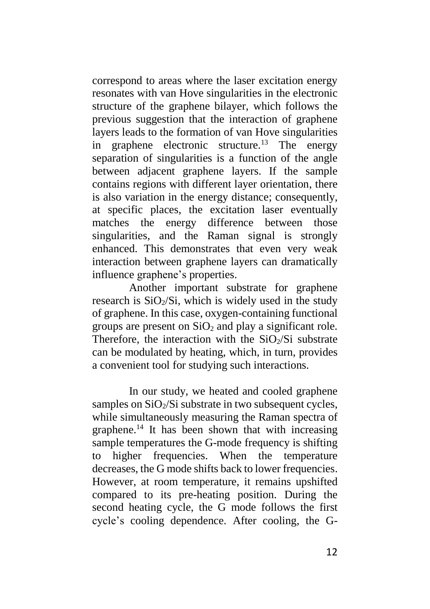correspond to areas where the laser excitation energy resonates with van Hove singularities in the electronic structure of the graphene bilayer, which follows the previous suggestion that the interaction of graphene layers leads to the formation of van Hove singularities in graphene electronic structure.<sup>13</sup> The energy separation of singularities is a function of the angle between adjacent graphene layers. If the sample contains regions with different layer orientation, there is also variation in the energy distance; consequently, at specific places, the excitation laser eventually matches the energy difference between those singularities, and the Raman signal is strongly enhanced. This demonstrates that even very weak interaction between graphene layers can dramatically influence graphene's properties.

Another important substrate for graphene research is  $SiO<sub>2</sub>/Si$ , which is widely used in the study of graphene. In this case, oxygen-containing functional groups are present on  $SiO<sub>2</sub>$  and play a significant role. Therefore, the interaction with the  $SiO<sub>2</sub>/Si$  substrate can be modulated by heating, which, in turn, provides a convenient tool for studying such interactions.

In our study, we heated and cooled graphene samples on  $SiO<sub>2</sub>/Si$  substrate in two subsequent cycles. while simultaneously measuring the Raman spectra of graphene.<sup>14</sup> It has been shown that with increasing sample temperatures the G-mode frequency is shifting to higher frequencies. When the temperature decreases, the G mode shifts back to lower frequencies. However, at room temperature, it remains upshifted compared to its pre-heating position. During the second heating cycle, the G mode follows the first cycle's cooling dependence. After cooling, the G-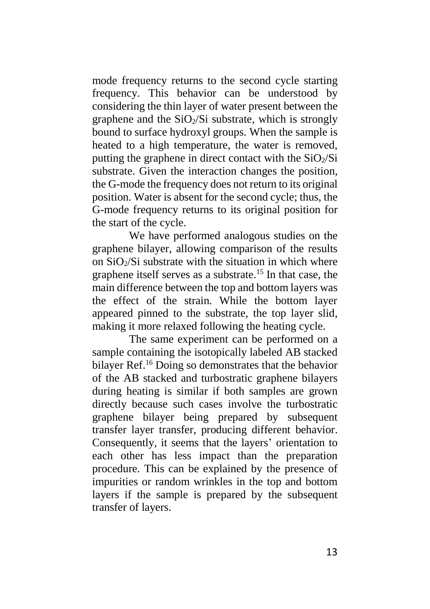mode frequency returns to the second cycle starting frequency. This behavior can be understood by considering the thin layer of water present between the graphene and the  $SiO<sub>2</sub>/Si$  substrate, which is strongly bound to surface hydroxyl groups. When the sample is heated to a high temperature, the water is removed, putting the graphene in direct contact with the  $SiO<sub>2</sub>/Si$ substrate. Given the interaction changes the position, the G-mode the frequency does not return to its original position. Water is absent for the second cycle; thus, the G-mode frequency returns to its original position for the start of the cycle.

We have performed analogous studies on the graphene bilayer, allowing comparison of the results on  $SiO<sub>2</sub>/Si$  substrate with the situation in which where graphene itself serves as a substrate. <sup>15</sup> In that case, the main difference between the top and bottom layers was the effect of the strain. While the bottom layer appeared pinned to the substrate, the top layer slid, making it more relaxed following the heating cycle.

The same experiment can be performed on a sample containing the isotopically labeled AB stacked bilayer Ref. <sup>16</sup> Doing so demonstrates that the behavior of the AB stacked and turbostratic graphene bilayers during heating is similar if both samples are grown directly because such cases involve the turbostratic graphene bilayer being prepared by subsequent transfer layer transfer, producing different behavior. Consequently, it seems that the layers' orientation to each other has less impact than the preparation procedure. This can be explained by the presence of impurities or random wrinkles in the top and bottom layers if the sample is prepared by the subsequent transfer of layers.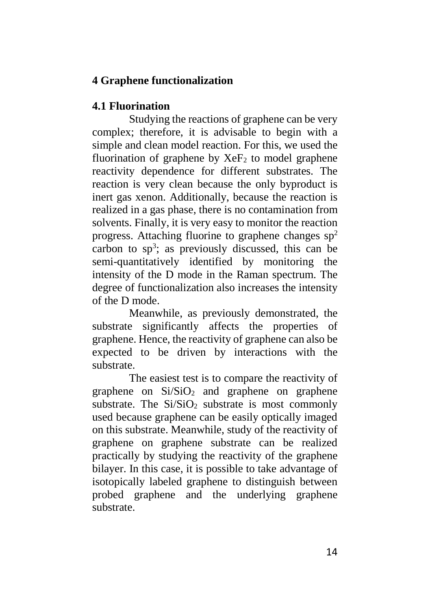## **4 Graphene functionalization**

### **4.1 Fluorination**

Studying the reactions of graphene can be very complex; therefore, it is advisable to begin with a simple and clean model reaction. For this, we used the fluorination of graphene by  $XeF_2$  to model graphene reactivity dependence for different substrates. The reaction is very clean because the only byproduct is inert gas xenon. Additionally, because the reaction is realized in a gas phase, there is no contamination from solvents. Finally, it is very easy to monitor the reaction progress. Attaching fluorine to graphene changes  $sp<sup>2</sup>$ carbon to  $sp^3$ ; as previously discussed, this can be semi-quantitatively identified by monitoring the intensity of the D mode in the Raman spectrum. The degree of functionalization also increases the intensity of the D mode.

Meanwhile, as previously demonstrated, the substrate significantly affects the properties of graphene. Hence, the reactivity of graphene can also be expected to be driven by interactions with the substrate.

The easiest test is to compare the reactivity of graphene on  $Si/SiO<sub>2</sub>$  and graphene on graphene substrate. The  $Si/SiO<sub>2</sub>$  substrate is most commonly used because graphene can be easily optically imaged on this substrate. Meanwhile, study of the reactivity of graphene on graphene substrate can be realized practically by studying the reactivity of the graphene bilayer. In this case, it is possible to take advantage of isotopically labeled graphene to distinguish between probed graphene and the underlying graphene substrate.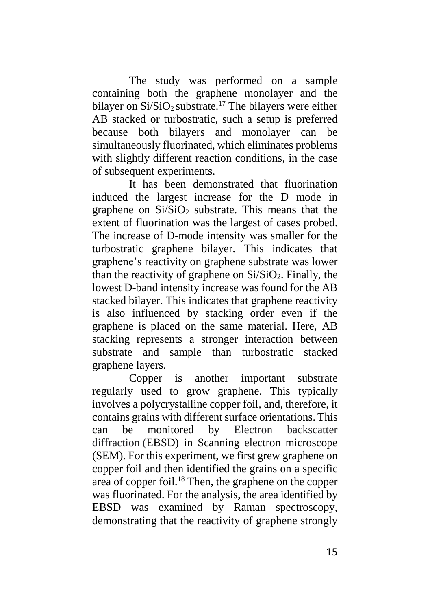The study was performed on a sample containing both the graphene monolayer and the bilayer on  $Si/SiO<sub>2</sub>$  substrate.<sup>17</sup> The bilayers were either AB stacked or turbostratic, such a setup is preferred because both bilayers and monolayer can be simultaneously fluorinated, which eliminates problems with slightly different reaction conditions, in the case of subsequent experiments.

It has been demonstrated that fluorination induced the largest increase for the D mode in graphene on  $Si/SiO<sub>2</sub>$  substrate. This means that the extent of fluorination was the largest of cases probed. The increase of D-mode intensity was smaller for the turbostratic graphene bilayer. This indicates that graphene's reactivity on graphene substrate was lower than the reactivity of graphene on  $Si/SiO<sub>2</sub>$ . Finally, the lowest D-band intensity increase was found for the AB stacked bilayer. This indicates that graphene reactivity is also influenced by stacking order even if the graphene is placed on the same material. Here, AB stacking represents a stronger interaction between substrate and sample than turbostratic stacked graphene layers.

Copper is another important substrate regularly used to grow graphene. This typically involves a polycrystalline copper foil, and, therefore, it contains grains with different surface orientations. This can be monitored by Electron backscatter diffraction (EBSD) in Scanning electron microscope (SEM). For this experiment, we first grew graphene on copper foil and then identified the grains on a specific area of copper foil.<sup>18</sup> Then, the graphene on the copper was fluorinated. For the analysis, the area identified by EBSD was examined by Raman spectroscopy, demonstrating that the reactivity of graphene strongly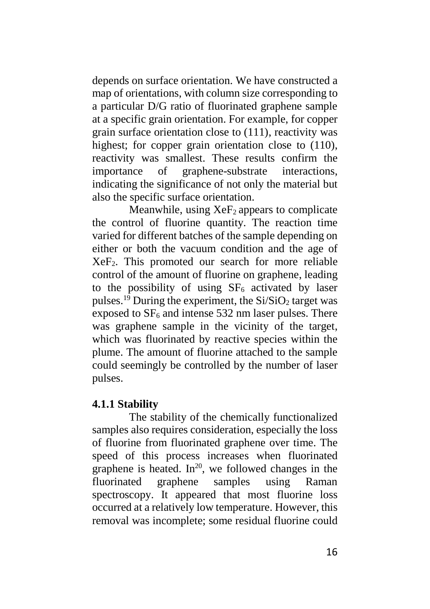depends on surface orientation. We have constructed a map of orientations, with column size corresponding to a particular D/G ratio of fluorinated graphene sample at a specific grain orientation. For example, for copper grain surface orientation close to (111), reactivity was highest; for copper grain orientation close to  $(110)$ , reactivity was smallest. These results confirm the importance of graphene-substrate interactions, indicating the significance of not only the material but also the specific surface orientation.

Meanwhile, using  $XeF_2$  appears to complicate the control of fluorine quantity. The reaction time varied for different batches of the sample depending on either or both the vacuum condition and the age of XeF2. This promoted our search for more reliable control of the amount of fluorine on graphene, leading to the possibility of using  $SF<sub>6</sub>$  activated by laser pulses.<sup>19</sup> During the experiment, the  $Si/SiO<sub>2</sub>$  target was exposed to  $SF<sub>6</sub>$  and intense 532 nm laser pulses. There was graphene sample in the vicinity of the target, which was fluorinated by reactive species within the plume. The amount of fluorine attached to the sample could seemingly be controlled by the number of laser pulses.

### **4.1.1 Stability**

The stability of the chemically functionalized samples also requires consideration, especially the loss of fluorine from fluorinated graphene over time. The speed of this process increases when fluorinated graphene is heated. In<sup>20</sup>, we followed changes in the fluorinated graphene samples using Raman spectroscopy. It appeared that most fluorine loss occurred at a relatively low temperature. However, this removal was incomplete; some residual fluorine could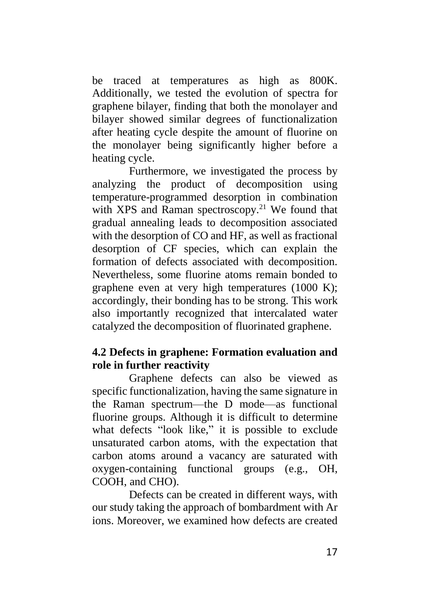be traced at temperatures as high as 800K. Additionally, we tested the evolution of spectra for graphene bilayer, finding that both the monolayer and bilayer showed similar degrees of functionalization after heating cycle despite the amount of fluorine on the monolayer being significantly higher before a heating cycle.

Furthermore, we investigated the process by analyzing the product of decomposition using temperature-programmed desorption in combination with XPS and Raman spectroscopy.<sup>21</sup> We found that gradual annealing leads to decomposition associated with the desorption of CO and HF, as well as fractional desorption of CF species, which can explain the formation of defects associated with decomposition. Nevertheless, some fluorine atoms remain bonded to graphene even at very high temperatures (1000 K); accordingly, their bonding has to be strong. This work also importantly recognized that intercalated water catalyzed the decomposition of fluorinated graphene.

### **4.2 Defects in graphene: Formation evaluation and role in further reactivity**

Graphene defects can also be viewed as specific functionalization, having the same signature in the Raman spectrum––the D mode––as functional fluorine groups. Although it is difficult to determine what defects "look like," it is possible to exclude unsaturated carbon atoms, with the expectation that carbon atoms around a vacancy are saturated with oxygen-containing functional groups (e.g., OH, COOH, and CHO).

Defects can be created in different ways, with our study taking the approach of bombardment with Ar ions. Moreover, we examined how defects are created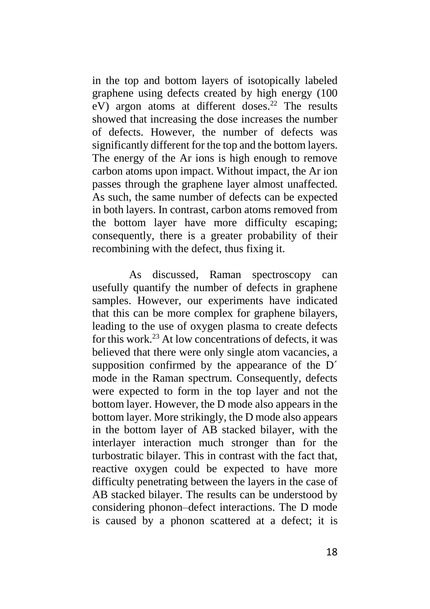in the top and bottom layers of isotopically labeled graphene using defects created by high energy (100 eV) argon atoms at different doses. <sup>22</sup> The results showed that increasing the dose increases the number of defects. However, the number of defects was significantly different for the top and the bottom layers. The energy of the Ar ions is high enough to remove carbon atoms upon impact. Without impact, the Ar ion passes through the graphene layer almost unaffected. As such, the same number of defects can be expected in both layers. In contrast, carbon atoms removed from the bottom layer have more difficulty escaping; consequently, there is a greater probability of their recombining with the defect, thus fixing it.

As discussed, Raman spectroscopy can usefully quantify the number of defects in graphene samples. However, our experiments have indicated that this can be more complex for graphene bilayers, leading to the use of oxygen plasma to create defects for this work.<sup>23</sup> At low concentrations of defects, it was believed that there were only single atom vacancies, a supposition confirmed by the appearance of the D<sup>'</sup> mode in the Raman spectrum. Consequently, defects were expected to form in the top layer and not the bottom layer. However, the D mode also appears in the bottom layer. More strikingly, the D mode also appears in the bottom layer of AB stacked bilayer, with the interlayer interaction much stronger than for the turbostratic bilayer. This in contrast with the fact that, reactive oxygen could be expected to have more difficulty penetrating between the layers in the case of AB stacked bilayer. The results can be understood by considering phonon–defect interactions. The D mode is caused by a phonon scattered at a defect; it is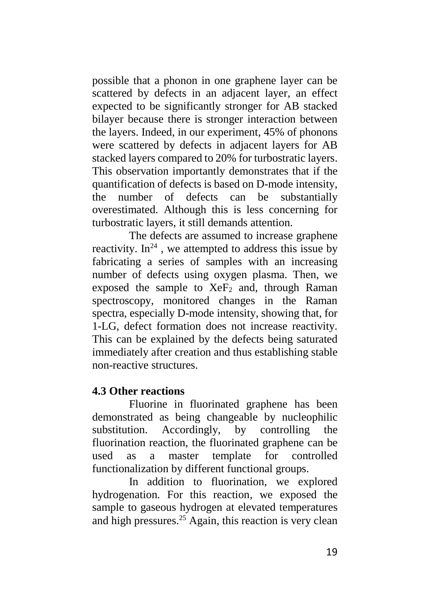possible that a phonon in one graphene layer can be scattered by defects in an adjacent layer, an effect expected to be significantly stronger for AB stacked bilayer because there is stronger interaction between the layers. Indeed, in our experiment, 45% of phonons were scattered by defects in adjacent layers for AB stacked layers compared to 20% for turbostratic layers. This observation importantly demonstrates that if the quantification of defects is based on D-mode intensity, the number of defects can be substantially overestimated. Although this is less concerning for turbostratic layers, it still demands attention.

The defects are assumed to increase graphene reactivity.  $\text{In}^{24}$ , we attempted to address this issue by fabricating a series of samples with an increasing number of defects using oxygen plasma. Then, we exposed the sample to  $XeF_2$  and, through Raman spectroscopy, monitored changes in the Raman spectra, especially D-mode intensity, showing that, for 1-LG, defect formation does not increase reactivity. This can be explained by the defects being saturated immediately after creation and thus establishing stable non-reactive structures.

### **4.3 Other reactions**

Fluorine in fluorinated graphene has been demonstrated as being changeable by nucleophilic substitution. Accordingly, by controlling the fluorination reaction, the fluorinated graphene can be used as a master template for controlled functionalization by different functional groups.

In addition to fluorination, we explored hydrogenation. For this reaction, we exposed the sample to gaseous hydrogen at elevated temperatures and high pressures. <sup>25</sup> Again, this reaction is very clean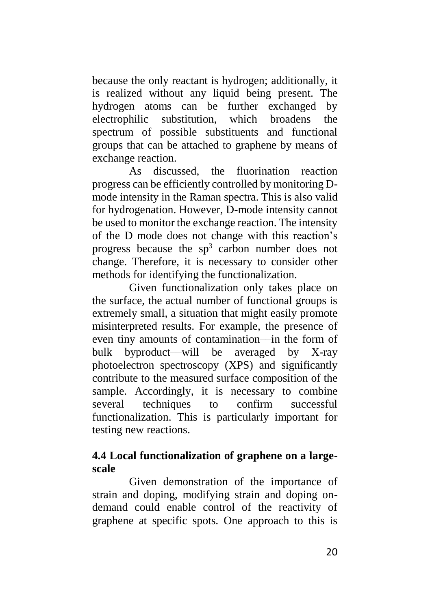because the only reactant is hydrogen; additionally, it is realized without any liquid being present. The hydrogen atoms can be further exchanged by electrophilic substitution, which broadens the spectrum of possible substituents and functional groups that can be attached to graphene by means of exchange reaction.

As discussed, the fluorination reaction progress can be efficiently controlled by monitoring Dmode intensity in the Raman spectra. This is also valid for hydrogenation. However, D-mode intensity cannot be used to monitor the exchange reaction. The intensity of the D mode does not change with this reaction's progress because the  $sp<sup>3</sup>$  carbon number does not change. Therefore, it is necessary to consider other methods for identifying the functionalization.

Given functionalization only takes place on the surface, the actual number of functional groups is extremely small, a situation that might easily promote misinterpreted results. For example, the presence of even tiny amounts of contamination––in the form of bulk byproduct––will be averaged by X-ray photoelectron spectroscopy (XPS) and significantly contribute to the measured surface composition of the sample. Accordingly, it is necessary to combine several techniques to confirm successful functionalization. This is particularly important for testing new reactions.

### **4.4 Local functionalization of graphene on a largescale**

Given demonstration of the importance of strain and doping, modifying strain and doping ondemand could enable control of the reactivity of graphene at specific spots. One approach to this is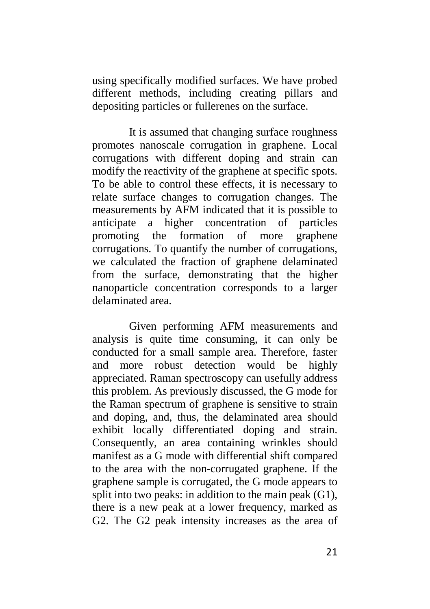using specifically modified surfaces. We have probed different methods, including creating pillars and depositing particles or fullerenes on the surface.

It is assumed that changing surface roughness promotes nanoscale corrugation in graphene. Local corrugations with different doping and strain can modify the reactivity of the graphene at specific spots. To be able to control these effects, it is necessary to relate surface changes to corrugation changes. The measurements by AFM indicated that it is possible to anticipate a higher concentration of particles promoting the formation of more graphene corrugations. To quantify the number of corrugations, we calculated the fraction of graphene delaminated from the surface, demonstrating that the higher nanoparticle concentration corresponds to a larger delaminated area.

Given performing AFM measurements and analysis is quite time consuming, it can only be conducted for a small sample area. Therefore, faster and more robust detection would be highly appreciated. Raman spectroscopy can usefully address this problem. As previously discussed, the G mode for the Raman spectrum of graphene is sensitive to strain and doping, and, thus, the delaminated area should exhibit locally differentiated doping and strain. Consequently, an area containing wrinkles should manifest as a G mode with differential shift compared to the area with the non-corrugated graphene. If the graphene sample is corrugated, the G mode appears to split into two peaks: in addition to the main peak (G1), there is a new peak at a lower frequency, marked as G2. The G2 peak intensity increases as the area of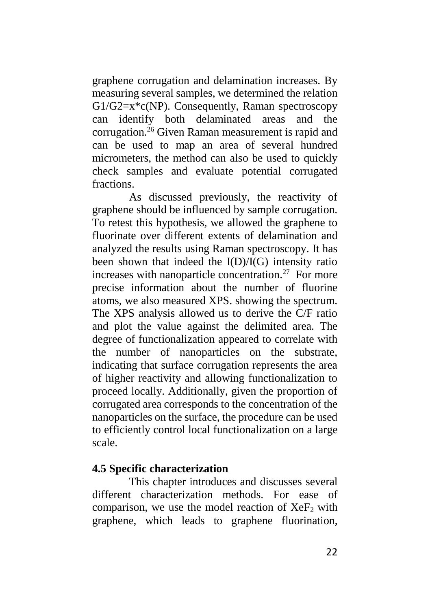graphene corrugation and delamination increases. By measuring several samples, we determined the relation  $G1/G2=x*c(NP)$ . Consequently, Raman spectroscopy can identify both delaminated areas and the corrugation.<sup>26</sup> Given Raman measurement is rapid and can be used to map an area of several hundred micrometers, the method can also be used to quickly check samples and evaluate potential corrugated fractions.

As discussed previously, the reactivity of graphene should be influenced by sample corrugation. To retest this hypothesis, we allowed the graphene to fluorinate over different extents of delamination and analyzed the results using Raman spectroscopy. It has been shown that indeed the  $I(D)/I(G)$  intensity ratio increases with nanoparticle concentration. 27 For more precise information about the number of fluorine atoms, we also measured XPS. showing the spectrum. The XPS analysis allowed us to derive the C/F ratio and plot the value against the delimited area. The degree of functionalization appeared to correlate with the number of nanoparticles on the substrate, indicating that surface corrugation represents the area of higher reactivity and allowing functionalization to proceed locally. Additionally, given the proportion of corrugated area corresponds to the concentration of the nanoparticles on the surface, the procedure can be used to efficiently control local functionalization on a large scale.

#### **4.5 Specific characterization**

This chapter introduces and discusses several different characterization methods. For ease of comparison, we use the model reaction of  $XeF_2$  with graphene, which leads to graphene fluorination,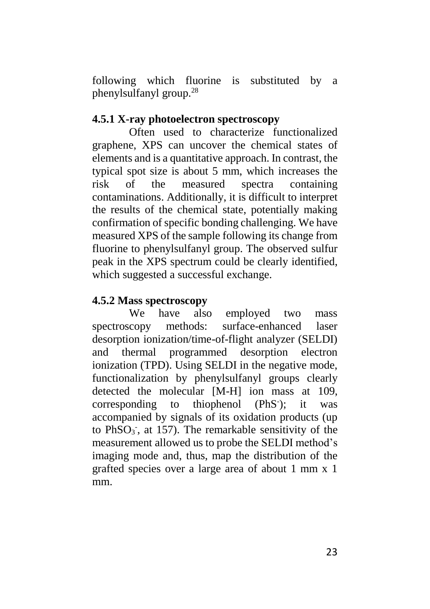following which fluorine is substituted by a phenylsulfanyl group.<sup>28</sup>

### **4.5.1 X-ray photoelectron spectroscopy**

Often used to characterize functionalized graphene, XPS can uncover the chemical states of elements and is a quantitative approach. In contrast, the typical spot size is about 5 mm, which increases the risk of the measured spectra containing contaminations. Additionally, it is difficult to interpret the results of the chemical state, potentially making confirmation of specific bonding challenging. We have measured XPS of the sample following its change from fluorine to phenylsulfanyl group. The observed sulfur peak in the XPS spectrum could be clearly identified, which suggested a successful exchange.

#### **4.5.2 Mass spectroscopy**

We have also employed two mass spectroscopy methods: surface-enhanced laser desorption ionization/time-of-flight analyzer (SELDI) and thermal programmed desorption electron ionization (TPD). Using SELDI in the negative mode, functionalization by phenylsulfanyl groups clearly detected the molecular [M-H] ion mass at 109, corresponding to thiophenol (PhS<sup>-</sup>): it was accompanied by signals of its oxidation products (up to  $PhSO<sub>3</sub>$ , at 157). The remarkable sensitivity of the measurement allowed us to probe the SELDI method's imaging mode and, thus, map the distribution of the grafted species over a large area of about 1 mm x 1 mm.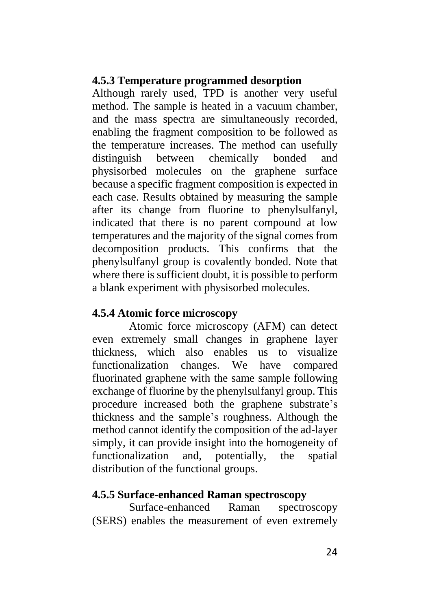#### **4.5.3 Temperature programmed desorption**

Although rarely used, TPD is another very useful method. The sample is heated in a vacuum chamber, and the mass spectra are simultaneously recorded, enabling the fragment composition to be followed as the temperature increases. The method can usefully distinguish between chemically bonded and physisorbed molecules on the graphene surface because a specific fragment composition is expected in each case. Results obtained by measuring the sample after its change from fluorine to phenylsulfanyl, indicated that there is no parent compound at low temperatures and the majority of the signal comes from decomposition products. This confirms that the phenylsulfanyl group is covalently bonded. Note that where there is sufficient doubt, it is possible to perform a blank experiment with physisorbed molecules.

### **4.5.4 Atomic force microscopy**

Atomic force microscopy (AFM) can detect even extremely small changes in graphene layer thickness, which also enables us to visualize functionalization changes. We have compared fluorinated graphene with the same sample following exchange of fluorine by the phenylsulfanyl group. This procedure increased both the graphene substrate's thickness and the sample's roughness. Although the method cannot identify the composition of the ad-layer simply, it can provide insight into the homogeneity of functionalization and, potentially, the spatial distribution of the functional groups.

#### **4.5.5 Surface-enhanced Raman spectroscopy**

Surface-enhanced Raman spectroscopy (SERS) enables the measurement of even extremely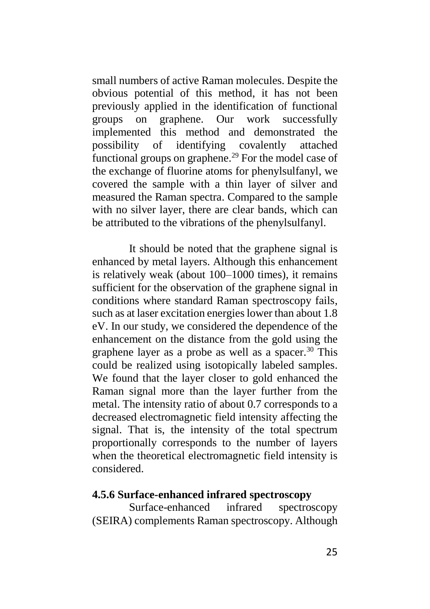small numbers of active Raman molecules. Despite the obvious potential of this method, it has not been previously applied in the identification of functional groups on graphene. Our work successfully implemented this method and demonstrated the possibility of identifying covalently attached functional groups on graphene.<sup>29</sup> For the model case of the exchange of fluorine atoms for phenylsulfanyl, we covered the sample with a thin layer of silver and measured the Raman spectra. Compared to the sample with no silver layer, there are clear bands, which can be attributed to the vibrations of the phenylsulfanyl.

It should be noted that the graphene signal is enhanced by metal layers. Although this enhancement is relatively weak (about 100–1000 times), it remains sufficient for the observation of the graphene signal in conditions where standard Raman spectroscopy fails, such as at laser excitation energies lower than about 1.8 eV. In our study, we considered the dependence of the enhancement on the distance from the gold using the graphene layer as a probe as well as a spacer. $30$  This could be realized using isotopically labeled samples. We found that the layer closer to gold enhanced the Raman signal more than the layer further from the metal. The intensity ratio of about 0.7 corresponds to a decreased electromagnetic field intensity affecting the signal. That is, the intensity of the total spectrum proportionally corresponds to the number of layers when the theoretical electromagnetic field intensity is considered.

#### **4.5.6 Surface-enhanced infrared spectroscopy**

Surface-enhanced infrared spectroscopy (SEIRA) complements Raman spectroscopy. Although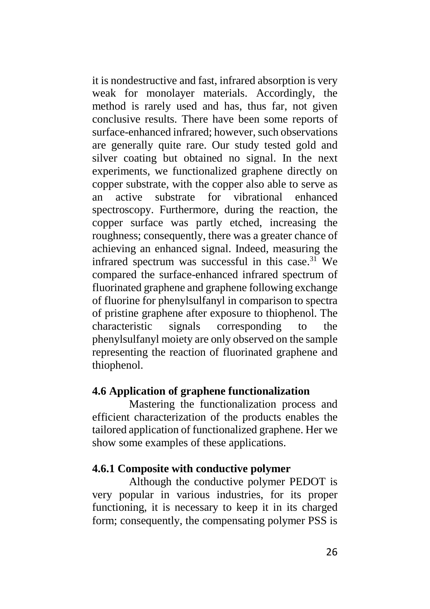it is nondestructive and fast, infrared absorption is very weak for monolayer materials. Accordingly, the method is rarely used and has, thus far, not given conclusive results. There have been some reports of surface-enhanced infrared; however, such observations are generally quite rare. Our study tested gold and silver coating but obtained no signal. In the next experiments, we functionalized graphene directly on copper substrate, with the copper also able to serve as an active substrate for vibrational enhanced spectroscopy. Furthermore, during the reaction, the copper surface was partly etched, increasing the roughness; consequently, there was a greater chance of achieving an enhanced signal. Indeed, measuring the infrared spectrum was successful in this case. <sup>31</sup> We compared the surface-enhanced infrared spectrum of fluorinated graphene and graphene following exchange of fluorine for phenylsulfanyl in comparison to spectra of pristine graphene after exposure to thiophenol. The characteristic signals corresponding to the phenylsulfanyl moiety are only observed on the sample representing the reaction of fluorinated graphene and thiophenol.

#### **4.6 Application of graphene functionalization**

Mastering the functionalization process and efficient characterization of the products enables the tailored application of functionalized graphene. Her we show some examples of these applications.

#### **4.6.1 Composite with conductive polymer**

Although the conductive polymer PEDOT is very popular in various industries, for its proper functioning, it is necessary to keep it in its charged form; consequently, the compensating polymer PSS is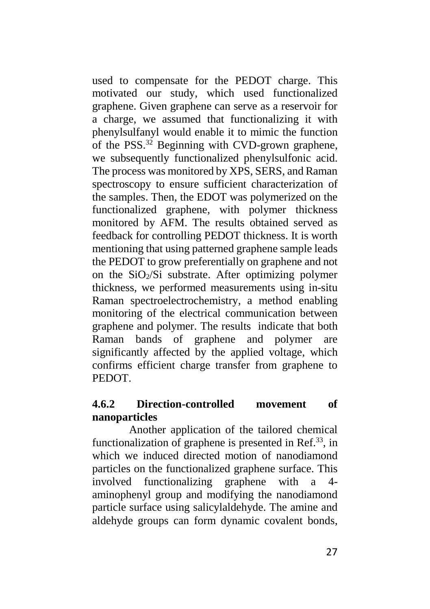used to compensate for the PEDOT charge. This motivated our study, which used functionalized graphene. Given graphene can serve as a reservoir for a charge, we assumed that functionalizing it with phenylsulfanyl would enable it to mimic the function of the PSS.<sup>32</sup> Beginning with CVD-grown graphene, we subsequently functionalized phenylsulfonic acid. The process was monitored by XPS, SERS, and Raman spectroscopy to ensure sufficient characterization of the samples. Then, the EDOT was polymerized on the functionalized graphene, with polymer thickness monitored by AFM. The results obtained served as feedback for controlling PEDOT thickness. It is worth mentioning that using patterned graphene sample leads the PEDOT to grow preferentially on graphene and not on the  $SiO<sub>2</sub>/Si$  substrate. After optimizing polymer thickness, we performed measurements using in-situ Raman spectroelectrochemistry, a method enabling monitoring of the electrical communication between graphene and polymer. The results indicate that both Raman bands of graphene and polymer are significantly affected by the applied voltage, which confirms efficient charge transfer from graphene to **PEDOT** 

## **4.6.2 Direction-controlled movement of nanoparticles**

Another application of the tailored chemical functionalization of graphene is presented in Ref.<sup>33</sup>, in which we induced directed motion of nanodiamond particles on the functionalized graphene surface. This involved functionalizing graphene with a 4 aminophenyl group and modifying the nanodiamond particle surface using salicylaldehyde. The amine and aldehyde groups can form dynamic covalent bonds,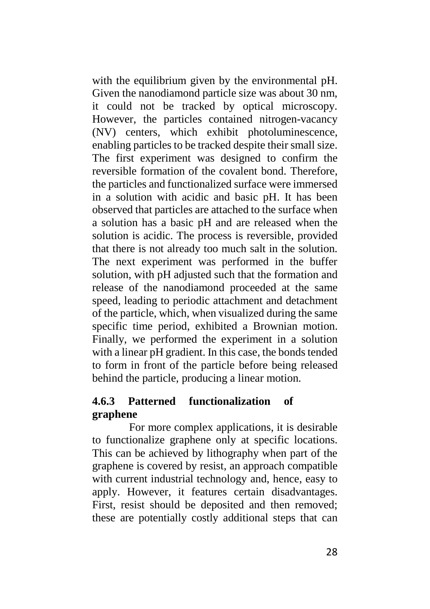with the equilibrium given by the environmental pH. Given the nanodiamond particle size was about 30 nm, it could not be tracked by optical microscopy. However, the particles contained nitrogen-vacancy (NV) centers, which exhibit photoluminescence, enabling particles to be tracked despite their small size. The first experiment was designed to confirm the reversible formation of the covalent bond. Therefore, the particles and functionalized surface were immersed in a solution with acidic and basic pH. It has been observed that particles are attached to the surface when a solution has a basic pH and are released when the solution is acidic. The process is reversible, provided that there is not already too much salt in the solution. The next experiment was performed in the buffer solution, with pH adjusted such that the formation and release of the nanodiamond proceeded at the same speed, leading to periodic attachment and detachment of the particle, which, when visualized during the same specific time period, exhibited a Brownian motion. Finally, we performed the experiment in a solution with a linear pH gradient. In this case, the bonds tended to form in front of the particle before being released behind the particle, producing a linear motion.

## **4.6.3 Patterned functionalization of graphene**

For more complex applications, it is desirable to functionalize graphene only at specific locations. This can be achieved by lithography when part of the graphene is covered by resist, an approach compatible with current industrial technology and, hence, easy to apply. However, it features certain disadvantages. First, resist should be deposited and then removed; these are potentially costly additional steps that can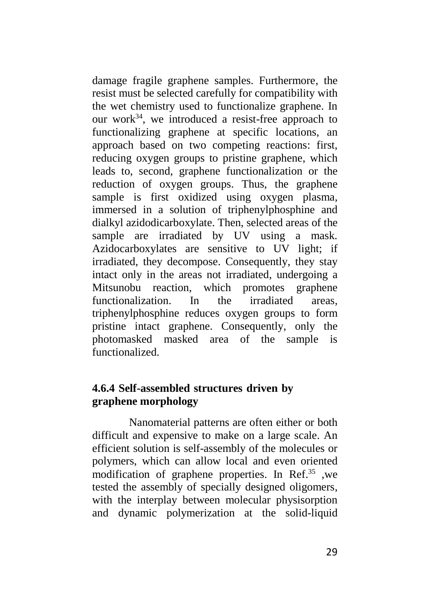damage fragile graphene samples. Furthermore, the resist must be selected carefully for compatibility with the wet chemistry used to functionalize graphene. In our work $34$ , we introduced a resist-free approach to functionalizing graphene at specific locations, an approach based on two competing reactions: first, reducing oxygen groups to pristine graphene, which leads to, second, graphene functionalization or the reduction of oxygen groups. Thus, the graphene sample is first oxidized using oxygen plasma, immersed in a solution of triphenylphosphine and dialkyl azidodicarboxylate. Then, selected areas of the sample are irradiated by UV using a mask. Azidocarboxylates are sensitive to UV light; if irradiated, they decompose. Consequently, they stay intact only in the areas not irradiated, undergoing a Mitsunobu reaction, which promotes graphene functionalization. In the irradiated areas, triphenylphosphine reduces oxygen groups to form pristine intact graphene. Consequently, only the photomasked masked area of the sample is functionalized.

#### **4.6.4 Self-assembled structures driven by graphene morphology**

Nanomaterial patterns are often either or both difficult and expensive to make on a large scale. An efficient solution is self-assembly of the molecules or polymers, which can allow local and even oriented modification of graphene properties. In Ref. <sup>35</sup> ,we tested the assembly of specially designed oligomers, with the interplay between molecular physisorption and dynamic polymerization at the solid-liquid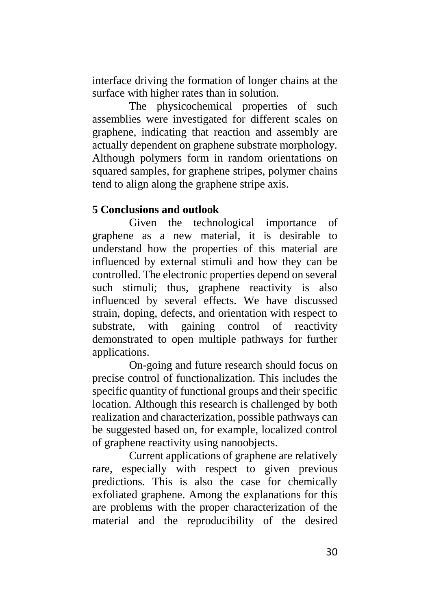interface driving the formation of longer chains at the surface with higher rates than in solution.

The physicochemical properties of such assemblies were investigated for different scales on graphene, indicating that reaction and assembly are actually dependent on graphene substrate morphology. Although polymers form in random orientations on squared samples, for graphene stripes, polymer chains tend to align along the graphene stripe axis.

## **5 Conclusions and outlook**

Given the technological importance of graphene as a new material, it is desirable to understand how the properties of this material are influenced by external stimuli and how they can be controlled. The electronic properties depend on several such stimuli; thus, graphene reactivity is also influenced by several effects. We have discussed strain, doping, defects, and orientation with respect to substrate, with gaining control of reactivity demonstrated to open multiple pathways for further applications.

On-going and future research should focus on precise control of functionalization. This includes the specific quantity of functional groups and their specific location. Although this research is challenged by both realization and characterization, possible pathways can be suggested based on, for example, localized control of graphene reactivity using nanoobjects.

Current applications of graphene are relatively rare, especially with respect to given previous predictions. This is also the case for chemically exfoliated graphene. Among the explanations for this are problems with the proper characterization of the material and the reproducibility of the desired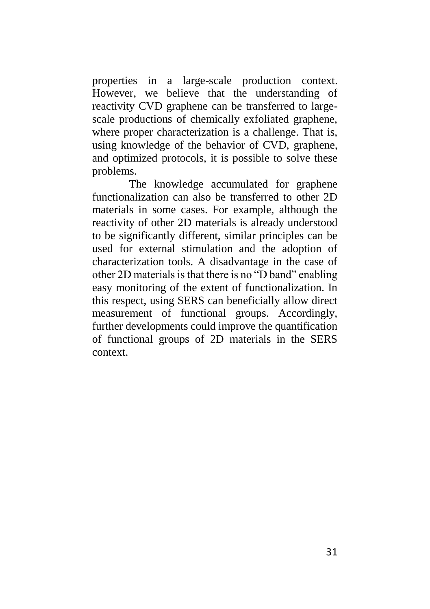properties in a large-scale production context. However, we believe that the understanding of reactivity CVD graphene can be transferred to largescale productions of chemically exfoliated graphene, where proper characterization is a challenge. That is, using knowledge of the behavior of CVD, graphene, and optimized protocols, it is possible to solve these problems.

The knowledge accumulated for graphene functionalization can also be transferred to other 2D materials in some cases. For example, although the reactivity of other 2D materials is already understood to be significantly different, similar principles can be used for external stimulation and the adoption of characterization tools. A disadvantage in the case of other 2D materials is that there is no "D band" enabling easy monitoring of the extent of functionalization. In this respect, using SERS can beneficially allow direct measurement of functional groups. Accordingly, further developments could improve the quantification of functional groups of 2D materials in the SERS context.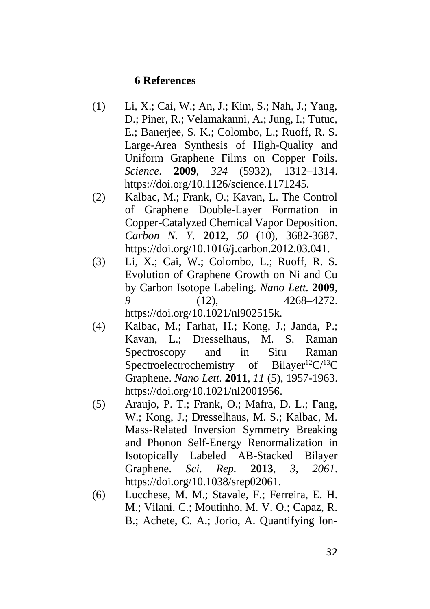#### **6 References**

- (1) Li, X.; Cai, W.; An, J.; Kim, S.; Nah, J.; Yang, D.; Piner, R.; Velamakanni, A.; Jung, I.; Tutuc, E.; Banerjee, S. K.; Colombo, L.; Ruoff, R. S. Large-Area Synthesis of High-Quality and Uniform Graphene Films on Copper Foils. *Science.* **2009**, *324* (5932), 1312–1314. https://doi.org/10.1126/science.1171245.
- (2) Kalbac, M.; Frank, O.; Kavan, L. The Control of Graphene Double-Layer Formation in Copper-Catalyzed Chemical Vapor Deposition. *Carbon N. Y.* **2012**, *50* (10), 3682-3687. https://doi.org/10.1016/j.carbon.2012.03.041.
- (3) Li, X.; Cai, W.; Colombo, L.; Ruoff, R. S. Evolution of Graphene Growth on Ni and Cu by Carbon Isotope Labeling. *Nano Lett.* **2009**, *9* (12), 4268–4272. https://doi.org/10.1021/nl902515k.
- (4) Kalbac, M.; Farhat, H.; Kong, J.; Janda, P.; Kavan, L.; Dresselhaus, M. S. Raman Spectroscopy and in Situ Raman Spectroelectrochemistry of Bilayer<sup>12</sup>C/<sup>13</sup>C Graphene. *Nano Lett.* **2011**, *11* (5), 1957-1963. https://doi.org/10.1021/nl2001956.
- (5) Araujo, P. T.; Frank, O.; Mafra, D. L.; Fang, W.; Kong, J.; Dresselhaus, M. S.; Kalbac, M. Mass-Related Inversion Symmetry Breaking and Phonon Self-Energy Renormalization in Isotopically Labeled AB-Stacked Bilayer Graphene. *Sci. Rep.* **2013**, *3, 2061*. https://doi.org/10.1038/srep02061.
- (6) Lucchese, M. M.; Stavale, F.; Ferreira, E. H. M.; Vilani, C.; Moutinho, M. V. O.; Capaz, R. B.; Achete, C. A.; Jorio, A. Quantifying Ion-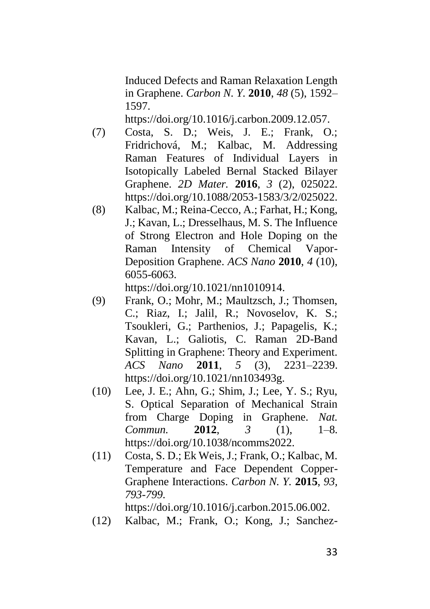Induced Defects and Raman Relaxation Length in Graphene. *Carbon N. Y.* **2010**, *48* (5), 1592– 1597.

https://doi.org/10.1016/j.carbon.2009.12.057.

- (7) Costa, S. D.; Weis, J. E.; Frank, O.; Fridrichová, M.; Kalbac, M. Addressing Raman Features of Individual Layers in Isotopically Labeled Bernal Stacked Bilayer Graphene. *2D Mater.* **2016**, *3* (2), 025022. https://doi.org/10.1088/2053-1583/3/2/025022.
- (8) Kalbac, M.; Reina-Cecco, A.; Farhat, H.; Kong, J.; Kavan, L.; Dresselhaus, M. S. The Influence of Strong Electron and Hole Doping on the Raman Intensity of Chemical Vapor-Deposition Graphene. *ACS Nano* **2010**, *4* (10), 6055-6063.

https://doi.org/10.1021/nn1010914.

- (9) Frank, O.; Mohr, M.; Maultzsch, J.; Thomsen, C.; Riaz, I.; Jalil, R.; Novoselov, K. S.; Tsoukleri, G.; Parthenios, J.; Papagelis, K.; Kavan, L.; Galiotis, C. Raman 2D-Band Splitting in Graphene: Theory and Experiment. *ACS Nano* **2011**, *5* (3), 2231–2239. https://doi.org/10.1021/nn103493g.
- (10) Lee, J. E.; Ahn, G.; Shim, J.; Lee, Y. S.; Ryu, S. Optical Separation of Mechanical Strain from Charge Doping in Graphene. *Nat. Commun.* **2012**, *3* (1), 1–8. https://doi.org/10.1038/ncomms2022.
- (11) Costa, S. D.; Ek Weis, J.; Frank, O.; Kalbac, M. Temperature and Face Dependent Copper-Graphene Interactions. *Carbon N. Y.* **2015**, *93, 793-799*.

https://doi.org/10.1016/j.carbon.2015.06.002.

(12) Kalbac, M.; Frank, O.; Kong, J.; Sanchez-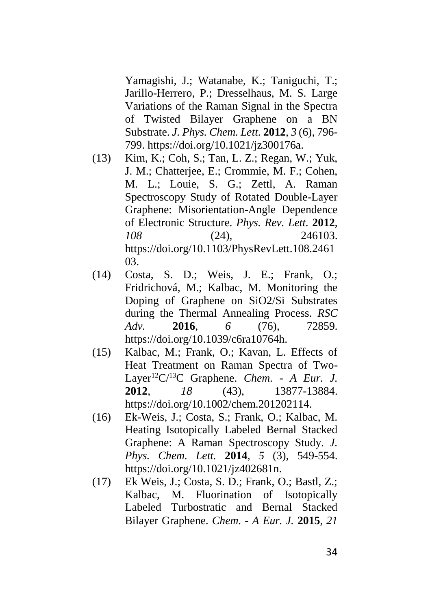Yamagishi, J.; Watanabe, K.; Taniguchi, T.; Jarillo-Herrero, P.; Dresselhaus, M. S. Large Variations of the Raman Signal in the Spectra of Twisted Bilayer Graphene on a BN Substrate. *J. Phys. Chem. Lett.* **2012**, *3* (6), 796- 799. https://doi.org/10.1021/jz300176a.

- (13) Kim, K.; Coh, S.; Tan, L. Z.; Regan, W.; Yuk, J. M.; Chatterjee, E.; Crommie, M. F.; Cohen, M. L.; Louie, S. G.; Zettl, A. Raman Spectroscopy Study of Rotated Double-Layer Graphene: Misorientation-Angle Dependence of Electronic Structure. *Phys. Rev. Lett.* **2012**, *108* (24), 246103. https://doi.org/10.1103/PhysRevLett.108.2461 03.
- (14) Costa, S. D.; Weis, J. E.; Frank, O.; Fridrichová, M.; Kalbac, M. Monitoring the Doping of Graphene on SiO2/Si Substrates during the Thermal Annealing Process. *RSC Adv.* **2016**, *6* (76), 72859. https://doi.org/10.1039/c6ra10764h.
- (15) Kalbac, M.; Frank, O.; Kavan, L. Effects of Heat Treatment on Raman Spectra of Two-Layer<sup>12</sup>C/<sup>13</sup>C Graphene. *Chem. - A Eur. J.* **2012**, *18* (43), 13877-13884. https://doi.org/10.1002/chem.201202114.
- (16) Ek-Weis, J.; Costa, S.; Frank, O.; Kalbac, M. Heating Isotopically Labeled Bernal Stacked Graphene: A Raman Spectroscopy Study. *J. Phys. Chem. Lett.* **2014**, *5* (3), 549-554. https://doi.org/10.1021/jz402681n.
- (17) Ek Weis, J.; Costa, S. D.; Frank, O.; Bastl, Z.; Kalbac, M. Fluorination of Isotopically Labeled Turbostratic and Bernal Stacked Bilayer Graphene. *Chem. - A Eur. J.* **2015**, *21*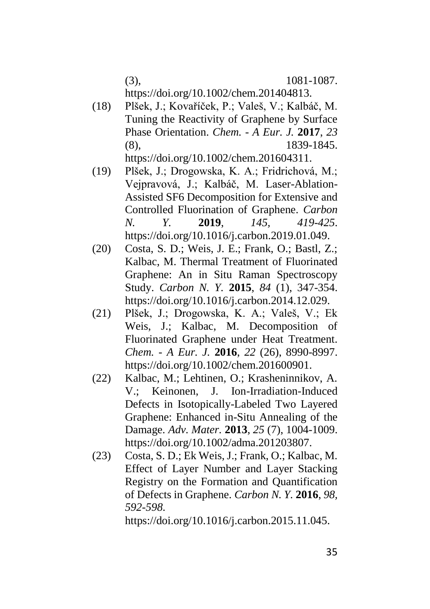(3), 1081-1087. https://doi.org/10.1002/chem.201404813.

- (18) Plšek, J.; Kovaříček, P.; Valeš, V.; Kalbáč, M. Tuning the Reactivity of Graphene by Surface Phase Orientation. *Chem. - A Eur. J.* **2017**, *23* (8), 1839-1845. https://doi.org/10.1002/chem.201604311.
- (19) Plšek, J.; Drogowska, K. A.; Fridrichová, M.; Vejpravová, J.; Kalbáč, M. Laser-Ablation-Assisted SF6 Decomposition for Extensive and Controlled Fluorination of Graphene. *Carbon N. Y.* **2019**, *145, 419-425*. https://doi.org/10.1016/j.carbon.2019.01.049.
- (20) Costa, S. D.; Weis, J. E.; Frank, O.; Bastl, Z.; Kalbac, M. Thermal Treatment of Fluorinated Graphene: An in Situ Raman Spectroscopy Study. *Carbon N. Y.* **2015**, *84* (1), 347-354. https://doi.org/10.1016/j.carbon.2014.12.029.
- (21) Plšek, J.; Drogowska, K. A.; Valeš, V.; Ek Weis, J.; Kalbac, M. Decomposition of Fluorinated Graphene under Heat Treatment. *Chem. - A Eur. J.* **2016**, *22* (26), 8990-8997. https://doi.org/10.1002/chem.201600901.
- (22) Kalbac, M.; Lehtinen, O.; Krasheninnikov, A. V.; Keinonen, J. Ion-Irradiation-Induced Defects in Isotopically-Labeled Two Layered Graphene: Enhanced in-Situ Annealing of the Damage. *Adv. Mater.* **2013**, *25* (7), 1004-1009. https://doi.org/10.1002/adma.201203807.
- (23) Costa, S. D.; Ek Weis, J.; Frank, O.; Kalbac, M. Effect of Layer Number and Layer Stacking Registry on the Formation and Quantification of Defects in Graphene. *Carbon N. Y.* **2016**, *98, 592-598*.

https://doi.org/10.1016/j.carbon.2015.11.045.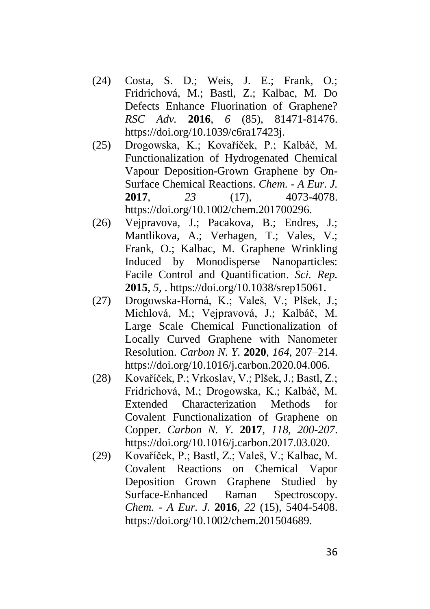- (24) Costa, S. D.; Weis, J. E.; Frank, O.; Fridrichová, M.; Bastl, Z.; Kalbac, M. Do Defects Enhance Fluorination of Graphene? *RSC Adv.* **2016**, *6* (85), 81471-81476. https://doi.org/10.1039/c6ra17423j.
- (25) Drogowska, K.; Kovaříček, P.; Kalbáč, M. Functionalization of Hydrogenated Chemical Vapour Deposition-Grown Graphene by On-Surface Chemical Reactions. *Chem. - A Eur. J.* **2017**, *23* (17), 4073-4078. https://doi.org/10.1002/chem.201700296.
- (26) Vejpravova, J.; Pacakova, B.; Endres, J.; Mantlikova, A.; Verhagen, T.; Vales, V.; Frank, O.; Kalbac, M. Graphene Wrinkling Induced by Monodisperse Nanoparticles: Facile Control and Quantification. *Sci. Rep.* **2015**, *5,* . https://doi.org/10.1038/srep15061.
- (27) Drogowska-Horná, K.; Valeš, V.; Plšek, J.; Michlová, M.; Vejpravová, J.; Kalbáč, M. Large Scale Chemical Functionalization of Locally Curved Graphene with Nanometer Resolution. *Carbon N. Y.* **2020**, *164*, 207–214. https://doi.org/10.1016/j.carbon.2020.04.006.
- (28) Kovaříček, P.; Vrkoslav, V.; Plšek, J.; Bastl, Z.; Fridrichová, M.; Drogowska, K.; Kalbáč, M. Extended Characterization Methods for Covalent Functionalization of Graphene on Copper. *Carbon N. Y.* **2017**, *118, 200-207*. https://doi.org/10.1016/j.carbon.2017.03.020.
- (29) Kovaříček, P.; Bastl, Z.; Valeš, V.; Kalbac, M. Covalent Reactions on Chemical Vapor Deposition Grown Graphene Studied by Surface-Enhanced Raman Spectroscopy. *Chem. - A Eur. J.* **2016**, *22* (15), 5404-5408. https://doi.org/10.1002/chem.201504689.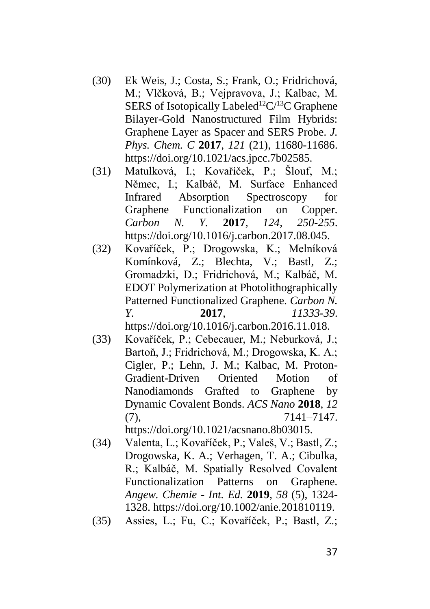- (30) Ek Weis, J.; Costa, S.; Frank, O.; Fridrichová, M.; Vlčková, B.; Vejpravova, J.; Kalbac, M. SERS of Isotopically Labeled<sup>12</sup>C/<sup>13</sup>C Graphene Bilayer-Gold Nanostructured Film Hybrids: Graphene Layer as Spacer and SERS Probe. *J. Phys. Chem. C* **2017**, *121* (21), 11680-11686. https://doi.org/10.1021/acs.jpcc.7b02585.
- (31) Matulková, I.; Kovaříček, P.; Šlouf, M.; Němec, I.; Kalbáč, M. Surface Enhanced Infrared Absorption Spectroscopy for Graphene Functionalization on Copper. *Carbon N. Y.* **2017**, *124, 250-255*. https://doi.org/10.1016/j.carbon.2017.08.045.
- (32) Kovaříček, P.; Drogowska, K.; Melníková Komínková, Z.; Blechta, V.; Bastl, Z.; Gromadzki, D.; Fridrichová, M.; Kalbáč, M. EDOT Polymerization at Photolithographically Patterned Functionalized Graphene. *Carbon N. Y.* **2017**, *11333-39*. https://doi.org/10.1016/j.carbon.2016.11.018.
- (33) Kovaříček, P.; Cebecauer, M.; Neburková, J.; Bartoň, J.; Fridrichová, M.; Drogowska, K. A.; Cigler, P.; Lehn, J. M.; Kalbac, M. Proton-Gradient-Driven Oriented Motion of Nanodiamonds Grafted to Graphene by Dynamic Covalent Bonds. *ACS Nano* **2018**, *12*  $(7),$  7141–7147. https://doi.org/10.1021/acsnano.8b03015.

(34) Valenta, L.; Kovaříček, P.; Valeš, V.; Bastl, Z.; Drogowska, K. A.; Verhagen, T. A.; Cibulka, R.; Kalbáč, M. Spatially Resolved Covalent Functionalization Patterns on Graphene. *Angew. Chemie - Int. Ed.* **2019**, *58* (5), 1324- 1328. https://doi.org/10.1002/anie.201810119.

(35) Assies, L.; Fu, C.; Kovaříček, P.; Bastl, Z.;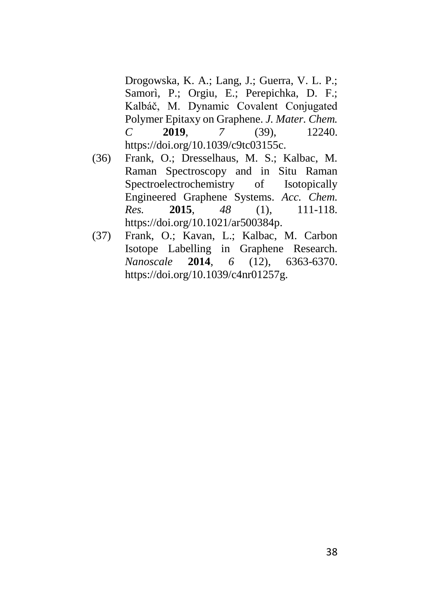Drogowska, K. A.; Lang, J.; Guerra, V. L. P.; Samorì, P.; Orgiu, E.; Perepichka, D. F.; Kalbáč, M. Dynamic Covalent Conjugated Polymer Epitaxy on Graphene. *J. Mater. Chem. C* **2019**, *7* (39), 12240. https://doi.org/10.1039/c9tc03155c.

- (36) Frank, O.; Dresselhaus, M. S.; Kalbac, M. Raman Spectroscopy and in Situ Raman Spectroelectrochemistry of Isotopically Engineered Graphene Systems. *Acc. Chem. Res.* **2015**, *48* (1), 111-118. https://doi.org/10.1021/ar500384p.
- (37) Frank, O.; Kavan, L.; Kalbac, M. Carbon Isotope Labelling in Graphene Research. *Nanoscale* **2014**, *6* (12), 6363-6370. https://doi.org/10.1039/c4nr01257g.